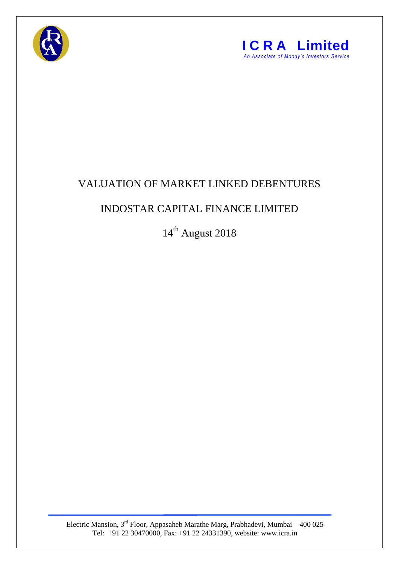



## VALUATION OF MARKET LINKED DEBENTURES

## INDOSTAR CAPITAL FINANCE LIMITED

14<sup>th</sup> August 2018

Electric Mansion, 3<sup>rd</sup> Floor, Appasaheb Marathe Marg, Prabhadevi, Mumbai – 400 025 Tel: +91 22 30470000, Fax: +91 22 24331390, website: www.icra.in